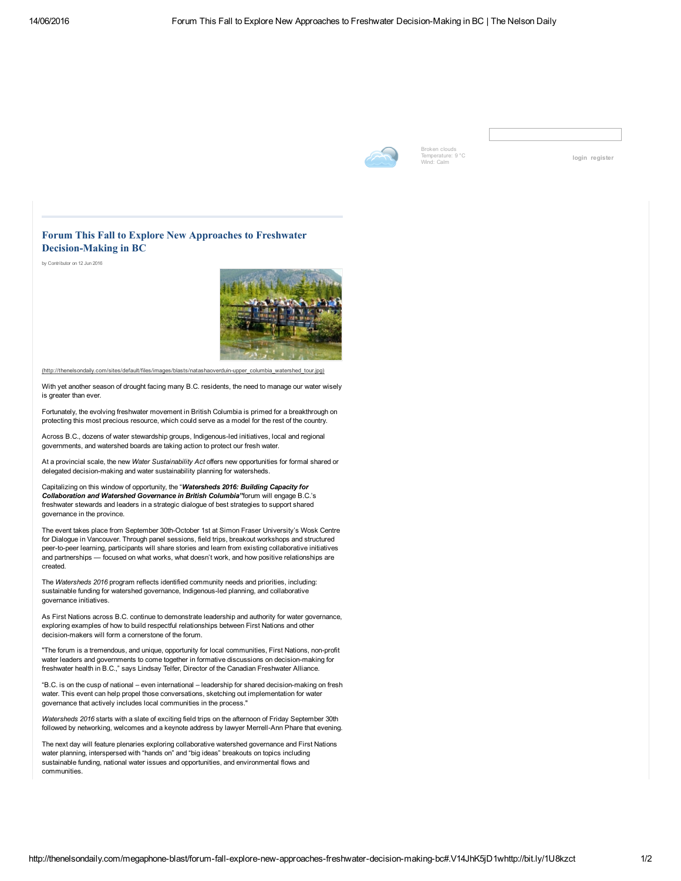

Broken clouds Temperature: 9 °C<br>Wind: Calm

[login](http://thenelsondaily.com/user/login) [register](http://thenelsondaily.com/user/register)

## Forum This Fall to Explore New Approaches to Freshwater Decision-Making in BC

by Contributor on 12 Jun 2016



(http://thenelsondaily.com/sites/default/files/images/blasts/natashaoverduin-upper\_columbia\_watershed\_tour.jpg)

With yet another season of drought facing many B.C. residents, the need to manage our water wisely is greater than ever.

Fortunately, the evolving freshwater movement in British Columbia is primed for a breakthrough on protecting this most precious resource, which could serve as a model for the rest of the country.

Across B.C., dozens of water stewardship groups, Indigenous-led initiatives, local and regional governments, and watershed boards are taking action to protect our fresh water.

At a provincial scale, the new *Water Sustainability Act* offers new opportunities for formal shared or delegated decision-making and water sustainability planning for watersheds.

Capitalizing on this window of opportunity, the "*Watersheds 2016: Building Capacity for Collaboration and Watershed Governance in British Columbia"*forum will engage B.C.'s freshwater stewards and leaders in a strategic dialogue of best strategies to support shared governance in the province.

The event takes place from September 30th-October 1st at Simon Fraser University's Wosk Centre for Dialogue in Vancouver. Through panel sessions, field trips, breakout workshops and structured peer-to-peer learning, participants will share stories and learn from existing collaborative initiatives and partnerships — focused on what works, what doesn't work, and how positive relationships are created.

The *Watersheds 2016* program reflects identified community needs and priorities, including: sustainable funding for watershed governance, Indigenous-led planning, and collaborative governance initiatives.

As First Nations across B.C. continue to demonstrate leadership and authority for water governance, exploring examples of how to build respectful relationships between First Nations and other decision-makers will form a cornerstone of the forum.

"The forum is a tremendous, and unique, opportunity for local communities, First Nations, non-profit water leaders and governments to come together in formative discussions on decision-making for freshwater health in B.C.," says Lindsay Telfer, Director of the Canadian Freshwater Alliance.

"B.C. is on the cusp of national – even international – leadership for shared decision-making on fresh water. This event can help propel those conversations, sketching out implementation for water governance that actively includes local communities in the process."

*Watersheds 2016* starts with a slate of exciting field trips on the afternoon of Friday September 30th followed by networking, welcomes and a keynote address by lawyer Merrell-Ann Phare that evening.

The next day will feature plenaries exploring collaborative watershed governance and First Nations water planning, interspersed with "hands on" and "big ideas" breakouts on topics including sustainable funding, national water issues and opportunities, and environmental flows and communities.